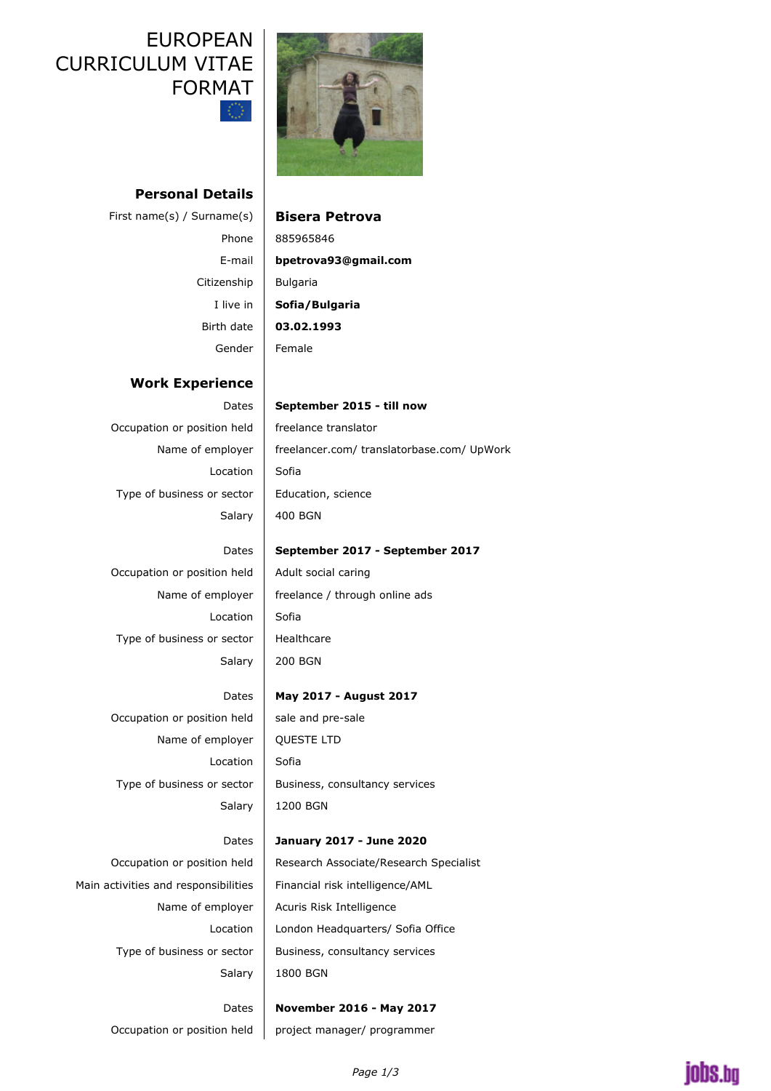# UNNICULUM VITAL FORMAT



## **Personal Details**

First name(s) / Surname(s) **Bisera Petrova** Citizenship | Bulgaria Gender Female

# Phone 885965846 E-mail **bpetrova93@gmail.com** I live in **Sofia/Bulgaria** Birth date **03.02.1993**

### **Work Experience**

Occupation or position held  $\vert$  freelance translator  $Localion$  Sofia Type of business or sector  $\vert$  Education, science

#### Dates | September 2015 - till now

Name of employer  $\parallel$  freelancer.com/ translatorbase.com/ UpWork Salary  $\vert$  400 BGN

## Dates | September 2017 - September 2017

# Occupation or position held  $\parallel$  Adult social caring Name of employer  $\parallel$  freelance / through online ads Salary  $\vert$  200 BGN

Location  $S$ ofia Type of business or sector  $\parallel$  Healthcare

## Dates **May 2017 - August 2017**

Occupation or position held  $\vert$  sale and pre-sale Name of employer | QUESTE LTD Location  $S$ ofia Type of business or sector  $\parallel$  Business, consultancy services

Salary  $\vert$  1200 BGN

Main activities and responsibilities  $\parallel$  Financial risk intelligence/AML

# Dates **January 2017 - June 2020** Occupation or position held | Research Associate/Research Specialist Name of employer  $\parallel$  Acuris Risk Intelligence Location | London Headquarters/ Sofia Office Type of business or sector  $\parallel$  Business, consultancy services Salary | 1800 BGN

Dates **November 2016 - May 2017** Occupation or position held  $\parallel$  project manager/ programmer

# iobs.bo

### *Page 1/3*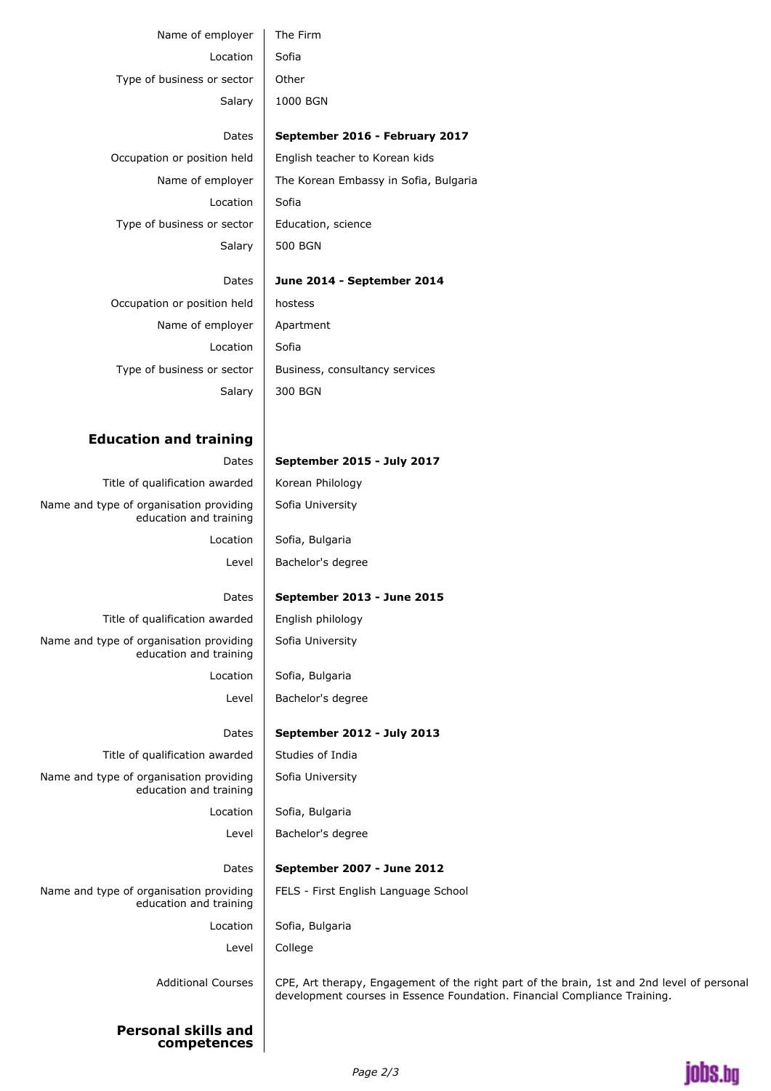| Type of business or sector                                        | Other                                                                                                                                                                   |
|-------------------------------------------------------------------|-------------------------------------------------------------------------------------------------------------------------------------------------------------------------|
| Salary                                                            | 1000 BGN                                                                                                                                                                |
| Dates                                                             | September 2016 - February 2017                                                                                                                                          |
| Occupation or position held                                       | English teacher to Korean kids                                                                                                                                          |
| Name of employer                                                  | The Korean Embassy in Sofia, Bulgaria                                                                                                                                   |
| Location                                                          | Sofia                                                                                                                                                                   |
| Type of business or sector                                        | Education, science                                                                                                                                                      |
| Salary                                                            | <b>500 BGN</b>                                                                                                                                                          |
| Dates                                                             | June 2014 - September 2014                                                                                                                                              |
| Occupation or position held                                       | hostess                                                                                                                                                                 |
| Name of employer                                                  | Apartment                                                                                                                                                               |
| Location                                                          | Sofia                                                                                                                                                                   |
| Type of business or sector                                        | Business, consultancy services                                                                                                                                          |
| Salary                                                            | 300 BGN                                                                                                                                                                 |
|                                                                   |                                                                                                                                                                         |
| <b>Education and training</b>                                     |                                                                                                                                                                         |
| Dates                                                             | September 2015 - July 2017                                                                                                                                              |
| Title of qualification awarded                                    | Korean Philology                                                                                                                                                        |
| Name and type of organisation providing<br>education and training | Sofia University                                                                                                                                                        |
| Location                                                          | Sofia, Bulgaria                                                                                                                                                         |
| Level                                                             | Bachelor's degree                                                                                                                                                       |
| Dates                                                             | September 2013 - June 2015                                                                                                                                              |
| Title of qualification awarded                                    | English philology                                                                                                                                                       |
| Name and type of organisation providing<br>education and training | Sofia University                                                                                                                                                        |
| Location                                                          | Sofia, Bulgaria                                                                                                                                                         |
| Level                                                             | Bachelor's degree                                                                                                                                                       |
| Dates                                                             | September 2012 - July 2013                                                                                                                                              |
| Title of qualification awarded                                    | Studies of India                                                                                                                                                        |
| Name and type of organisation providing<br>education and training | Sofia University                                                                                                                                                        |
| Location                                                          | Sofia, Bulgaria                                                                                                                                                         |
| Level                                                             | Bachelor's degree                                                                                                                                                       |
| Dates                                                             | September 2007 - June 2012                                                                                                                                              |
| Name and type of organisation providing<br>education and training | FELS - First English Language School                                                                                                                                    |
| Location                                                          | Sofia, Bulgaria                                                                                                                                                         |
| Level                                                             | College                                                                                                                                                                 |
| <b>Additional Courses</b>                                         | CPE, Art therapy, Engagement of the right part of the brain, 1st and 2nd level of personal<br>development courses in Essence Foundation. Financial Compliance Training. |

**Personal skills and competences**